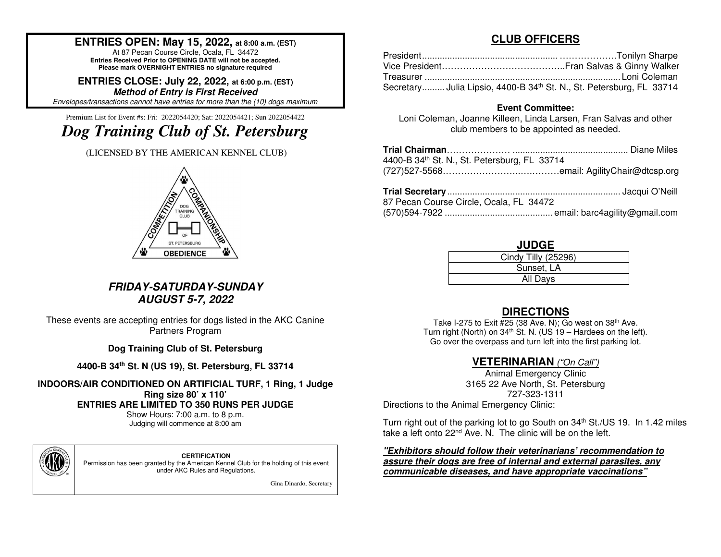## **ENTRIES OPEN: May 15, 2022, at 8:00 a.m. (EST)**

At 87 Pecan Course Circle, Ocala, FL 34472 **Entries Received Prior to OPENING DATE will not be accepted. Please mark OVERNIGHT ENTRIES no signature required**

**ENTRIES CLOSE: July 22, 2022, at 6:00 p.m. (EST)Method of Entry is First Received**Envelopes/transactions cannot have entries for more than the (10) dogs maximum.

Premium List for Event #s: Fri: 2022054420; Sat: 2022054421; Sun 2022054422

# *Dog Training Club of St. Petersburg*

(LICENSED BY THE AMERICAN KENNEL CLUB)



#### **FRIDAY-SATURDAY-SUNDAY AUGUST 5-7, 2022**

These events are accepting entries for dogs listed in the AKC Canine Partners Program

**Dog Training Club of St. Petersburg** 

**4400-B 34th St. N (US 19), St. Petersburg, FL 33714** 

**INDOORS/AIR CONDITIONED ON ARTIFICIAL TURF, 1 Ring, 1 Judge Ring size 80' x 110' ENTRIES ARE LIMITED TO 350 RUNS PER JUDGE** 

Show Hours: 7:00 a.m. to 8 p.m. Judging will commence at 8:00 am



**CERTIFICATION** 

 Permission has been granted by the American Kennel Club for the holding of this event under AKC Rules and Regulations.

Gina Dinardo, Secretary

## **CLUB OFFICERS**

| Secretary Julia Lipsio, 4400-B 34 <sup>th</sup> St. N., St. Petersburg, FL 33714 |  |
|----------------------------------------------------------------------------------|--|

#### **Event Committee:**

 Loni Coleman, Joanne Killeen, Linda Larsen, Fran Salvas and other club members to be appointed as needed.

| 4400-B 34 <sup>th</sup> St. N., St. Petersburg, FL 33714 |  |
|----------------------------------------------------------|--|
|                                                          |  |
|                                                          |  |

|                                          | <b>That see Four f</b> minimum minimum minimum minimum minimum sasqar si rom |
|------------------------------------------|------------------------------------------------------------------------------|
| 87 Pecan Course Circle, Ocala, FL  34472 |                                                                              |
|                                          |                                                                              |

#### **JUDGE**

| Cindy Tilly (25296) |
|---------------------|
| Sunset, LA          |
| All Days            |

## **DIRECTIONS**

Take I-275 to Exit #25 (38 Ave. N); Go west on 38<sup>th</sup> Ave. Turn right (North) on  $34<sup>th</sup>$  St. N. (US 19 – Hardees on the left). Go over the overpass and turn left into the first parking lot.

# **VETERINARIAN** ("On Call")

Animal Emergency Clinic 3165 22 Ave North, St. Petersburg 727-323-1311 Directions to the Animal Emergency Clinic:

Turn right out of the parking lot to go South on 34<sup>th</sup> St./US 19. In 1.42 miles take a left onto 22<sup>nd</sup> Ave. N. The clinic will be on the left.

**"Exhibitors should follow their veterinarians' recommendation to assure their dogs are free of internal and external parasites, any communicable diseases, and have appropriate vaccinations"**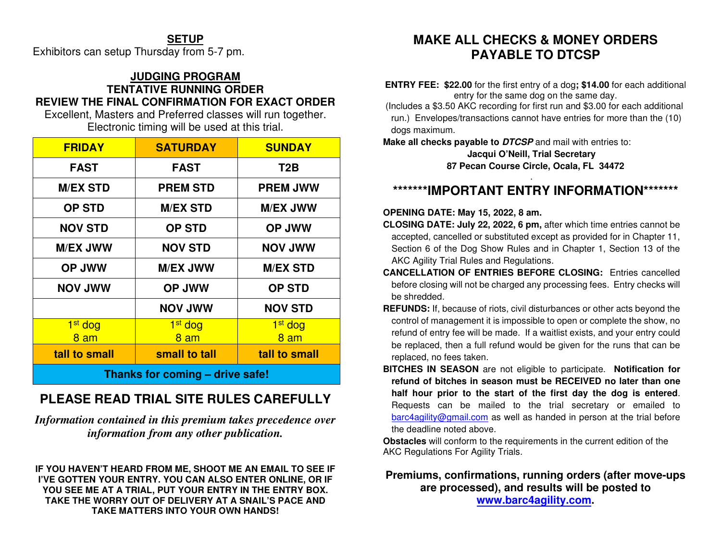## **SETUP**

Exhibitors can setup Thursday from 5-7 pm.

#### **JUDGING PROGRAM TENTATIVE RUNNING ORDER REVIEW THE FINAL CONFIRMATION FOR EXACT ORDER**

Excellent, Masters and Preferred classes will run together. Electronic timing will be used at this trial.

| <b>FRIDAY</b>                   | <b>SATURDAY</b>     | <b>SUNDAY</b>       |  |  |  |  |
|---------------------------------|---------------------|---------------------|--|--|--|--|
| <b>FAST</b>                     | <b>FAST</b>         | T <sub>2</sub> B    |  |  |  |  |
| <b>M/EX STD</b>                 | <b>PREM STD</b>     | <b>PREM JWW</b>     |  |  |  |  |
| <b>OP STD</b>                   | <b>M/EX STD</b>     | <b>M/EX JWW</b>     |  |  |  |  |
| <b>NOV STD</b>                  | <b>OP STD</b>       | <b>OP JWW</b>       |  |  |  |  |
| <b>M/EX JWW</b>                 | <b>NOV STD</b>      | <b>NOV JWW</b>      |  |  |  |  |
| <b>OP JWW</b>                   | <b>M/EX JWW</b>     | <b>M/EX STD</b>     |  |  |  |  |
| <b>NOV JWW</b>                  | <b>OP JWW</b>       | <b>OP STD</b>       |  |  |  |  |
|                                 | <b>NOV JWW</b>      | <b>NOV STD</b>      |  |  |  |  |
| 1 <sup>st</sup> dog             | 1 <sup>st</sup> dog | 1 <sup>st</sup> dog |  |  |  |  |
| 8 am                            | 8 am                | 8 am                |  |  |  |  |
| tall to small                   | small to tall       | tall to small       |  |  |  |  |
| Thanks for coming - drive safe! |                     |                     |  |  |  |  |

# **PLEASE READ TRIAL SITE RULES CAREFULLY**

*Information contained in this premium takes precedence over information from any other publication.*

**IF YOU HAVEN'T HEARD FROM ME, SHOOT ME AN EMAIL TO SEE IF I'VE GOTTEN YOUR ENTRY. YOU CAN ALSO ENTER ONLINE, OR IF YOU SEE ME AT A TRIAL, PUT YOUR ENTRY IN THE ENTRY BOX. TAKE THE WORRY OUT OF DELIVERY AT A SNAIL'S PACE AND TAKE MATTERS INTO YOUR OWN HANDS!** 

# **MAKE ALL CHECKS & MONEY ORDERS PAYABLE TO DTCSP**

**ENTRY FEE: \$22.00** for the first entry of a dog**; \$14.00** for each additional entry for the same dog on the same day.

 (Includes a \$3.50 AKC recording for first run and \$3.00 for each additional run.) Envelopes/transactions cannot have entries for more than the (10) dogs maximum.

**Make all checks payable to DTCSP** and mail with entries to:

**Jacqui O'Neill, Trial Secretary 87 Pecan Course Circle, Ocala, FL 34472** 

# **\*\*\*\*\*\*\*IMPORTANT ENTRY INFORMATION\*\*\*\*\*\*\***

#### **OPENING DATE: May 15, 2022, 8 am.**

- **CLOSING DATE: July 22, 2022, 6 pm,** after which time entries cannot be accepted, cancelled or substituted except as provided for in Chapter 11, Section 6 of the Dog Show Rules and in Chapter 1, Section 13 of the AKC Agility Trial Rules and Regulations.
- **CANCELLATION OF ENTRIES BEFORE CLOSING:** Entries cancelled before closing will not be charged any processing fees. Entry checks will be shredded.
- **REFUNDS:** If, because of riots, civil disturbances or other acts beyond the control of management it is impossible to open or complete the show, no refund of entry fee will be made. If a waitlist exists, and your entry could be replaced, then a full refund would be given for the runs that can be replaced, no fees taken.
- **BITCHES IN SEASON** are not eligible to participate. **Notification for refund of bitches in season must be RECEIVED no later than one half hour prior to the start of the first day the dog is entered**. Requests can be mailed to the trial secretary or emailed to barc4agility@gmail.com</u> as well as handed in person at the trial before the deadline noted above.

**Obstacles** will conform to the requirements in the current edition of the AKC Regulations For Agility Trials.

### **Premiums, confirmations, running orders (after move-ups are processed), and results will be posted to www.barc4agility.com.**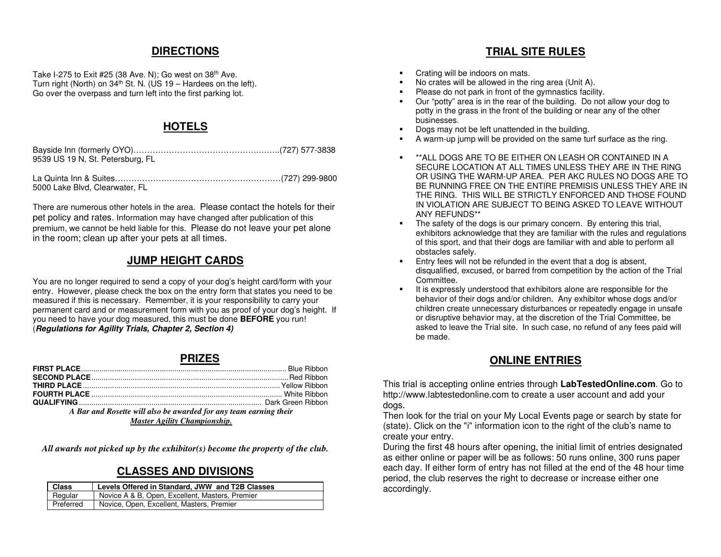#### **DIRECTIONS**

Take I-275 to Exit #25 (38 Ave. N); Go west on 38<sup>th</sup> Ave. Turn right (North) on  $34<sup>th</sup>$  St. N. (US 19 – Hardees on the left). Go over the overpass and turn left into the first parking lot.

#### **HOTELS**

Bayside Inn (formerly OYO)……………………………………….……..(727) 577-3838 9539 US 19 N, St. Petersburg, FL

La Quinta Inn & Suites…………………….………………………………(727) 299-9800 5000 Lake Blvd, Clearwater, FL

There are numerous other hotels in the area. Please contact the hotels for their pet policy and rates. Information may have changed after publication of this premium, we cannot be held liable for this. Please do not leave your pet alone in the room; clean up after your pets at all times.

## **JUMP HEIGHT CARDS**

You are no longer required to send a copy of your dog's height card/form with your entry. However, please check the box on the entry form that states you need to be measured if this is necessary. Remember, it is your responsibility to carry your permanent card and or measurement form with you as proof of your dog's height. If you need to have your dog measured, this must be done **BEFORE** you run! (**Regulations for Agility Trials, Chapter 2, Section 4)**

#### **PRIZES**

| A Bar and Rosette will also be awarded for any team earning their |  |  |  |  |  |  |
|-------------------------------------------------------------------|--|--|--|--|--|--|

*Master Agility Championship.* 

*All awards not picked up by the exhibitor(s) become the property of the club.* 

#### **CLASSES AND DIVISIONS**

| <b>Class</b> | Levels Offered in Standard, JWW and T2B Classes |
|--------------|-------------------------------------------------|
| Regular      | Novice A & B, Open, Excellent, Masters, Premier |
| Preferred    | Novice, Open, Excellent, Masters, Premier       |

## **TRIAL SITE RULES**

- Crating will be indoors on mats.
- No crates will be allowed in the ring area (Unit A).
- Please do not park in front of the gymnastics facility.
- Our "potty" area is in the rear of the building. Do not allow your dog to potty in the grass in the front of the building or near any of the other businesses.
- Dogs may not be left unattended in the building.
- A warm-up jump will be provided on the same turf surface as the ring.
- $\blacksquare$  \*\*ALL DOGS ARE TO BE EITHER ON LEASH OR CONTAINED IN A SECURE LOCATION AT ALL TIMES UNLESS THEY ARE IN THE RING OR USING THE WARM-UP AREA. PER AKC RULES NO DOGS ARE TO BE RUNNING FREE ON THE ENTIRE PREMISIS UNLESS THEY ARE IN THE RING. THIS WILL BE STRICTLY ENFORCED AND THOSE FOUND IN VIOLATION ARE SUBJECT TO BEING ASKED TO LEAVE WITHOUT ANY REFUNDS\*\*
- **The safety of the dogs is our primary concern.** By entering this trial, exhibitors acknowledge that they are familiar with the rules and regulations of this sport, and that their dogs are familiar with and able to perform all obstacles safely.
- **Entry fees will not be refunded in the event that a dog is absent,**  disqualified, excused, or barred from competition by the action of the Trial Committee.
- It is expressly understood that exhibitors alone are responsible for the behavior of their dogs and/or children. Any exhibitor whose dogs and/or children create unnecessary disturbances or repeatedly engage in unsafe or disruptive behavior may, at the discretion of the Trial Committee, be asked to leave the Trial site. In such case, no refund of any fees paid will be made.

## **ONLINE ENTRIES**

This trial is accepting online entries through **LabTestedOnline.com**. Go to http://www.labtestedonline.com to create a user account and add your dogs.

 Then look for the trial on your My Local Events page or search by state for (state). Click on the "i" information icon to the right of the club's name to create your entry.

 During the first 48 hours after opening, the initial limit of entries designated as either online or paper will be as follows: 50 runs online, 300 runs paper each day. If either form of entry has not filled at the end of the 48 hour time period, the club reserves the right to decrease or increase either one accordingly.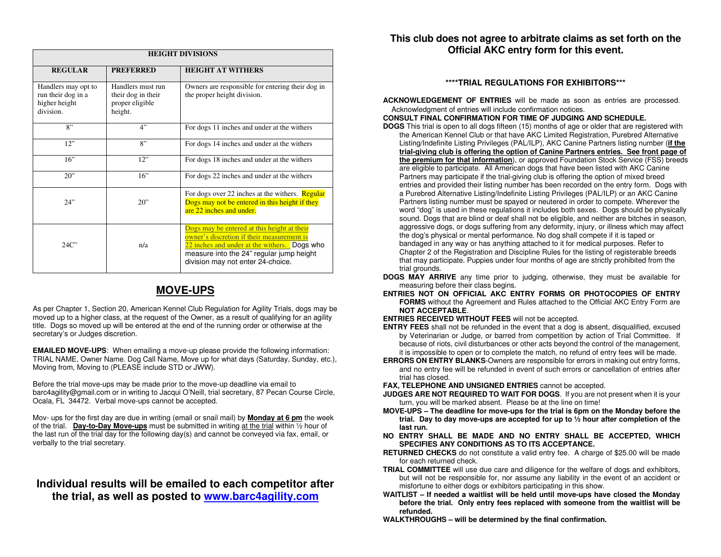| <b>HEIGHT DIVISIONS</b>                                                 |                                                                       |                                                                                                                                                                                                                            |  |  |  |  |  |  |
|-------------------------------------------------------------------------|-----------------------------------------------------------------------|----------------------------------------------------------------------------------------------------------------------------------------------------------------------------------------------------------------------------|--|--|--|--|--|--|
| <b>REGULAR</b>                                                          | <b>PREFERRED</b>                                                      | <b>HEIGHT AT WITHERS</b>                                                                                                                                                                                                   |  |  |  |  |  |  |
| Handlers may opt to<br>run their dog in a<br>higher height<br>division. | Handlers must run<br>their dog in their<br>proper eligible<br>height. | Owners are responsible for entering their dog in<br>the proper height division.                                                                                                                                            |  |  |  |  |  |  |
| 8"                                                                      | 4"                                                                    | For dogs 11 inches and under at the withers                                                                                                                                                                                |  |  |  |  |  |  |
| 12"                                                                     | 8"                                                                    | For dogs 14 inches and under at the withers                                                                                                                                                                                |  |  |  |  |  |  |
| 16"                                                                     | 12"                                                                   | For dogs 18 inches and under at the withers                                                                                                                                                                                |  |  |  |  |  |  |
| 20"                                                                     | 16"                                                                   | For dogs 22 inches and under at the withers                                                                                                                                                                                |  |  |  |  |  |  |
| 24"                                                                     | $20$ "                                                                | For dogs over 22 inches at the withers. <b>Regular</b><br>Dogs may not be entered in this height if they<br>are 22 inches and under.                                                                                       |  |  |  |  |  |  |
| 24C                                                                     | n/a                                                                   | Dogs may be entered at this height at their<br>owner's discretion if their measurement is<br>22 inches and under at the withers. Dogs who<br>measure into the 24" regular jump height<br>division may not enter 24-choice. |  |  |  |  |  |  |

## **MOVE-UPS**

As per Chapter 1, Section 20, American Kennel Club Regulation for Agility Trials, dogs may be moved up to a higher class, at the request of the Owner, as a result of qualifying for an agility title. Dogs so moved up will be entered at the end of the running order or otherwise at the secretary's or Judges discretion.

**EMAILED MOVE-UPS:** When emailing a move-up please provide the following information: TRIAL NAME, Owner Name. Dog Call Name, Move up for what days (Saturday, Sunday, etc.), Moving from, Moving to (PLEASE include STD or JWW).

Before the trial move-ups may be made prior to the move-up deadline via email to barc4agility@gmail.com or in writing to Jacqui O'Neill, trial secretary, 87 Pecan Course Circle, Ocala, FL 34472. Verbal move-ups cannot be accepted.

Mov- ups for the first day are due in writing (email or snail mail) by **Monday at 6 pm** the week of the trial. **Day-to-Day Move-ups** must be submitted in writing at the trial within ½ hour of the last run of the trial day for the following day(s) and cannot be conveyed via fax, email, or verbally to the trial secretary.

#### **Individual results will be emailed to each competitor after the trial, as well as posted to www.barc4agility.com**

#### **This club does not agree to arbitrate claims as set forth on the Official AKC entry form for this event.**

#### **\*\*\*\*TRIAL REGULATIONS FOR EXHIBITORS\*\*\***

**ACKNOWLEDGEMENT OF ENTRIES** will be made as soon as entries are processed. Acknowledgment of entries will include confirmation notices.

#### **CONSULT FINAL CONFIRMATION FOR TIME OF JUDGING AND SCHEDULE.**

 **DOGS** This trial is open to all dogs fifteen (15) months of age or older that are registered with the American Kennel Club or that have AKC Limited Registration, Purebred Alternative Listing/Indefinite Listing Privileges (PAL/ILP), AKC Canine Partners listing number (**if the trial-giving club is offering the option of Canine Partners entries. See front page of the premium for that information**), or approved Foundation Stock Service (FSS) breedsare eligible to participate. All American dogs that have been listed with AKC Canine Partners may participate if the trial-giving club is offering the option of mixed breed entries and provided their listing number has been recorded on the entry form. Dogs with a Purebred Alternative Listing/Indefinite Listing Privileges (PAL/ILP) or an AKC Canine Partners listing number must be spayed or neutered in order to compete. Wherever the word "dog" is used in these regulations it includes both sexes. Dogs should be physically sound. Dogs that are blind or deaf shall not be eligible, and neither are bitches in season, aggressive dogs, or dogs suffering from any deformity, injury, or illness which may affect the dog's physical or mental performance. No dog shall compete if it is taped or bandaged in any way or has anything attached to it for medical purposes. Refer to Chapter 2 of the Registration and Discipline Rules for the listing of registerable breeds that may participate. Puppies under four months of age are strictly prohibited from the trial grounds.

 **DOGS MAY ARRIVE** any time prior to judging, otherwise, they must be available for measuring before their class begins.

 **ENTRIES NOT ON OFFICIAL AKC ENTRY FORMS OR PHOTOCOPIES OF ENTRY FORMS** without the Agreement and Rules attached to the Official AKC Entry Form are **NOT ACCEPTABLE**.

#### **ENTRIES RECEIVED WITHOUT FEES** will not be accepted.

- **ENTRY FEES** shall not be refunded in the event that a dog is absent, disqualified, excused by Veterinarian or Judge, or barred from competition by action of Trial Committee. If because of riots, civil disturbances or other acts beyond the control of the management, it is impossible to open or to complete the match, no refund of entry fees will be made.
- **ERRORS ON ENTRY BLANKS**-Owners are responsible for errors in making out entry forms, and no entry fee will be refunded in event of such errors or cancellation of entries after trial has closed.

#### **FAX, TELEPHONE AND UNSIGNED ENTRIES** cannot be accepted.

- **JUDGES ARE NOT REQUIRED TO WAIT FOR DOGS**. If you are not present when it is your turn, you will be marked absent. Please be at the line on time!
- **MOVE-UPS The deadline for move-ups for the trial is 6pm on the Monday before the trial. Day to day move-ups are accepted for up to ½ hour after completion of the last run.**
- **NO ENTRY SHALL BE MADE AND NO ENTRY SHALL BE ACCEPTED, WHICH SPECIFIES ANY CONDITIONS AS TO ITS ACCEPTANCE.**
- **RETURNED CHECKS** do not constitute a valid entry fee. A charge of \$25.00 will be made for each returned check.
- **TRIAL COMMITTEE** will use due care and diligence for the welfare of dogs and exhibitors, but will not be responsible for, nor assume any liability in the event of an accident or misfortune to either dogs or exhibitors participating in this show.
- **WAITLIST If needed a waitlist will be held until move-ups have closed the Monday before the trial. Only entry fees replaced with someone from the waitlist will be refunded.**

**WALKTHROUGHS – will be determined by the final confirmation.**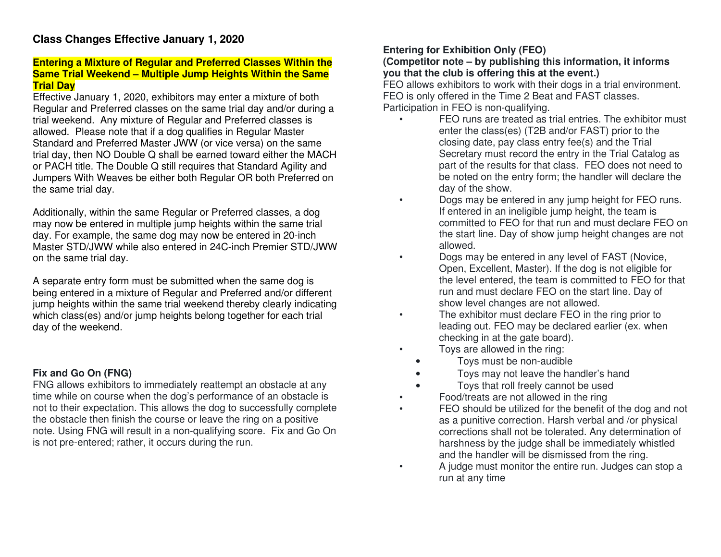#### **Entering a Mixture of Regular and Preferred Classes Within the Same Trial Weekend – Multiple Jump Heights Within the Same Trial Day**

 Effective January 1, 2020, exhibitors may enter a mixture of both Regular and Preferred classes on the same trial day and/or during a trial weekend. Any mixture of Regular and Preferred classes is allowed. Please note that if a dog qualifies in Regular Master Standard and Preferred Master JWW (or vice versa) on the same trial day, then NO Double Q shall be earned toward either the MACH or PACH title. The Double Q still requires that Standard Agility and Jumpers With Weaves be either both Regular OR both Preferred on the same trial day.

Additionally, within the same Regular or Preferred classes, a dog may now be entered in multiple jump heights within the same trial day. For example, the same dog may now be entered in 20-inch Master STD/JWW while also entered in 24C-inch Premier STD/JWW on the same trial day.

A separate entry form must be submitted when the same dog is being entered in a mixture of Regular and Preferred and/or different jump heights within the same trial weekend thereby clearly indicating which class(es) and/or jump heights belong together for each trial day of the weekend.

## **Fix and Go On (FNG)**

 FNG allows exhibitors to immediately reattempt an obstacle at any time while on course when the dog's performance of an obstacle is not to their expectation. This allows the dog to successfully complete the obstacle then finish the course or leave the ring on a positive note. Using FNG will result in a non-qualifying score. Fix and Go On is not pre-entered; rather, it occurs during the run.

### **Entering for Exhibition Only (FEO)**

#### **(Competitor note – by publishing this information, it informs you that the club is offering this at the event.)**

 FEO allows exhibitors to work with their dogs in a trial environment. FEO is only offered in the Time 2 Beat and FAST classes. Participation in FEO is non-qualifying.

- FEO runs are treated as trial entries. The exhibitor must enter the class(es) (T2B and/or FAST) prior to the closing date, pay class entry fee(s) and the Trial Secretary must record the entry in the Trial Catalog as part of the results for that class. FEO does not need to be noted on the entry form; the handler will declare the day of the show.
- Dogs may be entered in any jump height for FEO runs. If entered in an ineligible jump height, the team is committed to FEO for that run and must declare FEO on the start line. Day of show jump height changes are not allowed.
- Dogs may be entered in any level of FAST (Novice, Open, Excellent, Master). If the dog is not eligible for the level entered, the team is committed to FEO for that run and must declare FEO on the start line. Day of show level changes are not allowed.
- The exhibitor must declare FEO in the ring prior to leading out. FEO may be declared earlier (ex. when checking in at the gate board).
- Toys are allowed in the ring:
	- Toys must be non-audible
	- Toys may not leave the handler's hand
	- Toys that roll freely cannot be used
- Food/treats are not allowed in the ring
- FEO should be utilized for the benefit of the dog and not as a punitive correction. Harsh verbal and /or physical corrections shall not be tolerated. Any determination of harshness by the judge shall be immediately whistled and the handler will be dismissed from the ring.
- A judge must monitor the entire run. Judges can stop a run at any time